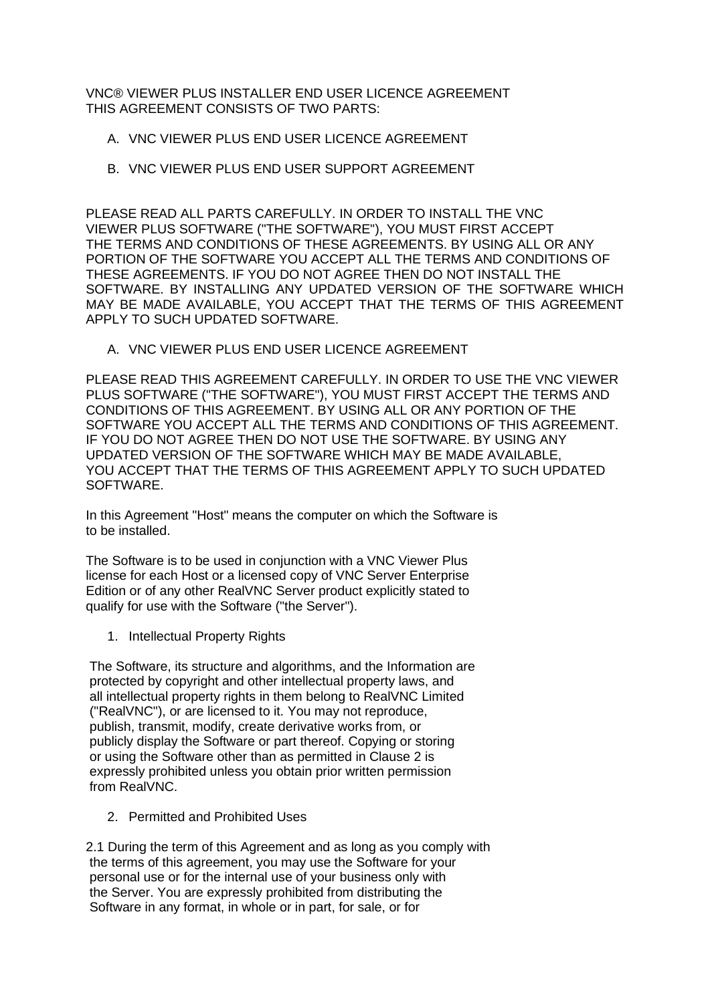VNC® VIEWER PLUS INSTALLER END USER LICENCE AGREEMENT THIS AGREEMENT CONSISTS OF TWO PARTS:

- A. VNC VIEWER PLUS END USER LICENCE AGREEMENT
- B. VNC VIEWER PLUS END USER SUPPORT AGREEMENT

PLEASE READ ALL PARTS CAREFULLY. IN ORDER TO INSTALL THE VNC VIEWER PLUS SOFTWARE ("THE SOFTWARE"), YOU MUST FIRST ACCEPT THE TERMS AND CONDITIONS OF THESE AGREEMENTS. BY USING ALL OR ANY PORTION OF THE SOFTWARE YOU ACCEPT ALL THE TERMS AND CONDITIONS OF THESE AGREEMENTS. IF YOU DO NOT AGREE THEN DO NOT INSTALL THE SOFTWARE. BY INSTALLING ANY UPDATED VERSION OF THE SOFTWARE WHICH MAY BE MADE AVAILABLE, YOU ACCEPT THAT THE TERMS OF THIS AGREEMENT APPLY TO SUCH UPDATED SOFTWARE.

A. VNC VIEWER PLUS END USER LICENCE AGREEMENT

PLEASE READ THIS AGREEMENT CAREFULLY. IN ORDER TO USE THE VNC VIEWER PLUS SOFTWARE ("THE SOFTWARE"), YOU MUST FIRST ACCEPT THE TERMS AND CONDITIONS OF THIS AGREEMENT. BY USING ALL OR ANY PORTION OF THE SOFTWARE YOU ACCEPT ALL THE TERMS AND CONDITIONS OF THIS AGREEMENT. IF YOU DO NOT AGREE THEN DO NOT USE THE SOFTWARE. BY USING ANY UPDATED VERSION OF THE SOFTWARE WHICH MAY BE MADE AVAILABLE, YOU ACCEPT THAT THE TERMS OF THIS AGREEMENT APPLY TO SUCH UPDATED SOFTWARE.

In this Agreement "Host" means the computer on which the Software is to be installed.

The Software is to be used in conjunction with a VNC Viewer Plus license for each Host or a licensed copy of VNC Server Enterprise Edition or of any other RealVNC Server product explicitly stated to qualify for use with the Software ("the Server").

1. Intellectual Property Rights

The Software, its structure and algorithms, and the Information are protected by copyright and other intellectual property laws, and all intellectual property rights in them belong to RealVNC Limited ("RealVNC"), or are licensed to it. You may not reproduce, publish, transmit, modify, create derivative works from, or publicly display the Software or part thereof. Copying or storing or using the Software other than as permitted in Clause 2 is expressly prohibited unless you obtain prior written permission from RealVNC.

2. Permitted and Prohibited Uses

2.1 During the term of this Agreement and as long as you comply with the terms of this agreement, you may use the Software for your personal use or for the internal use of your business only with the Server. You are expressly prohibited from distributing the Software in any format, in whole or in part, for sale, or for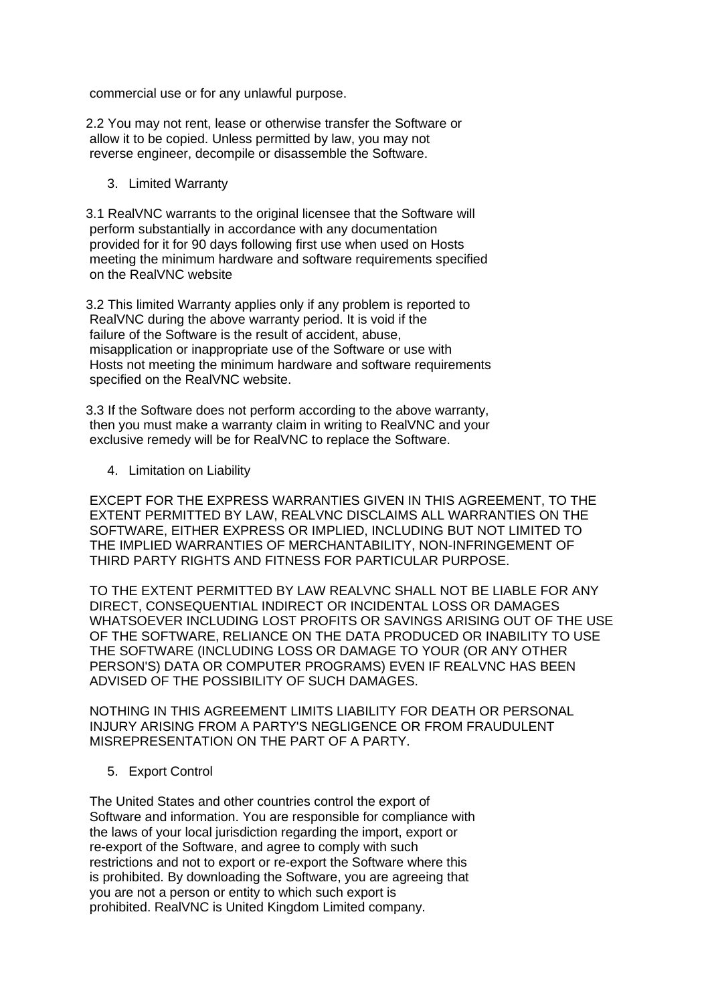commercial use or for any unlawful purpose.

2.2 You may not rent, lease or otherwise transfer the Software or allow it to be copied. Unless permitted by law, you may not reverse engineer, decompile or disassemble the Software.

## 3. Limited Warranty

3.1 RealVNC warrants to the original licensee that the Software will perform substantially in accordance with any documentation provided for it for 90 days following first use when used on Hosts meeting the minimum hardware and software requirements specified on the RealVNC website

3.2 This limited Warranty applies only if any problem is reported to RealVNC during the above warranty period. It is void if the failure of the Software is the result of accident, abuse, misapplication or inappropriate use of the Software or use with Hosts not meeting the minimum hardware and software requirements specified on the RealVNC website.

3.3 If the Software does not perform according to the above warranty, then you must make a warranty claim in writing to RealVNC and your exclusive remedy will be for RealVNC to replace the Software.

## 4. Limitation on Liability

EXCEPT FOR THE EXPRESS WARRANTIES GIVEN IN THIS AGREEMENT, TO THE EXTENT PERMITTED BY LAW, REALVNC DISCLAIMS ALL WARRANTIES ON THE SOFTWARE, EITHER EXPRESS OR IMPLIED, INCLUDING BUT NOT LIMITED TO THE IMPLIED WARRANTIES OF MERCHANTABILITY, NON-INFRINGEMENT OF THIRD PARTY RIGHTS AND FITNESS FOR PARTICULAR PURPOSE.

TO THE EXTENT PERMITTED BY LAW REALVNC SHALL NOT BE LIABLE FOR ANY DIRECT, CONSEQUENTIAL INDIRECT OR INCIDENTAL LOSS OR DAMAGES WHATSOEVER INCLUDING LOST PROFITS OR SAVINGS ARISING OUT OF THE USE OF THE SOFTWARE, RELIANCE ON THE DATA PRODUCED OR INABILITY TO USE THE SOFTWARE (INCLUDING LOSS OR DAMAGE TO YOUR (OR ANY OTHER PERSON'S) DATA OR COMPUTER PROGRAMS) EVEN IF REALVNC HAS BEEN ADVISED OF THE POSSIBILITY OF SUCH DAMAGES.

NOTHING IN THIS AGREEMENT LIMITS LIABILITY FOR DEATH OR PERSONAL INJURY ARISING FROM A PARTY'S NEGLIGENCE OR FROM FRAUDULENT MISREPRESENTATION ON THE PART OF A PARTY.

# 5. Export Control

The United States and other countries control the export of Software and information. You are responsible for compliance with the laws of your local jurisdiction regarding the import, export or re-export of the Software, and agree to comply with such restrictions and not to export or re-export the Software where this is prohibited. By downloading the Software, you are agreeing that you are not a person or entity to which such export is prohibited. RealVNC is United Kingdom Limited company.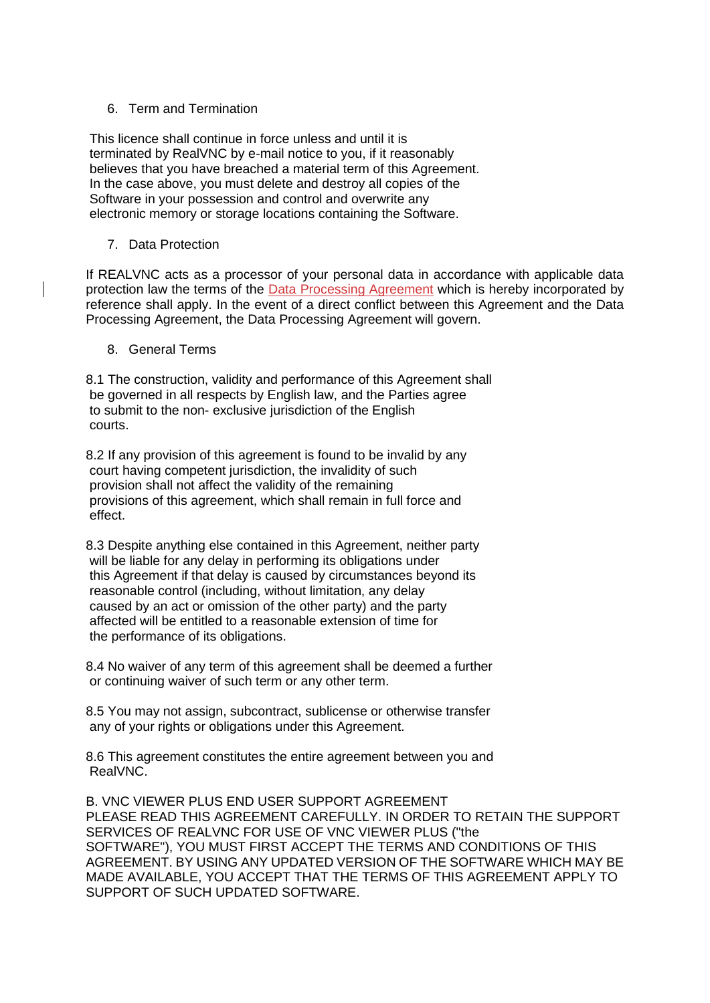# 6. Term and Termination

This licence shall continue in force unless and until it is terminated by RealVNC by e-mail notice to you, if it reasonably believes that you have breached a material term of this Agreement. In the case above, you must delete and destroy all copies of the Software in your possession and control and overwrite any electronic memory or storage locations containing the Software.

7. Data Protection

If REALVNC acts as a processor of your personal data in accordance with applicable data protection law the terms of the [Data Processing Agreement](https://help.realvnc.com/hc/en-us/articles/5438412949405-Data-Processing-Agreement-DPA-) which is hereby incorporated by reference shall apply. In the event of a direct conflict between this Agreement and the Data Processing Agreement, the Data Processing Agreement will govern.

8. General Terms

8.1 The construction, validity and performance of this Agreement shall be governed in all respects by English law, and the Parties agree to submit to the non- exclusive jurisdiction of the English courts.

8.2 If any provision of this agreement is found to be invalid by any court having competent jurisdiction, the invalidity of such provision shall not affect the validity of the remaining provisions of this agreement, which shall remain in full force and effect.

8.3 Despite anything else contained in this Agreement, neither party will be liable for any delay in performing its obligations under this Agreement if that delay is caused by circumstances beyond its reasonable control (including, without limitation, any delay caused by an act or omission of the other party) and the party affected will be entitled to a reasonable extension of time for the performance of its obligations.

8.4 No waiver of any term of this agreement shall be deemed a further or continuing waiver of such term or any other term.

8.5 You may not assign, subcontract, sublicense or otherwise transfer any of your rights or obligations under this Agreement.

8.6 This agreement constitutes the entire agreement between you and RealVNC.

B. VNC VIEWER PLUS END USER SUPPORT AGREEMENT PLEASE READ THIS AGREEMENT CAREFULLY. IN ORDER TO RETAIN THE SUPPORT SERVICES OF REALVNC FOR USE OF VNC VIEWER PLUS ("the SOFTWARE"), YOU MUST FIRST ACCEPT THE TERMS AND CONDITIONS OF THIS AGREEMENT. BY USING ANY UPDATED VERSION OF THE SOFTWARE WHICH MAY BE MADE AVAILABLE, YOU ACCEPT THAT THE TERMS OF THIS AGREEMENT APPLY TO SUPPORT OF SUCH UPDATED SOFTWARE.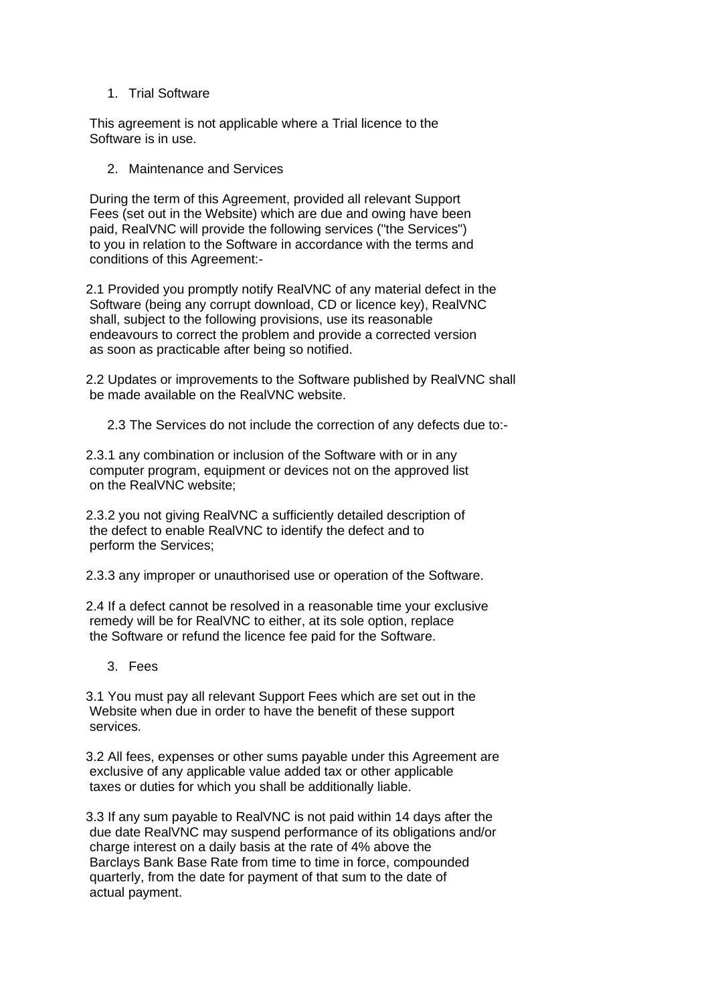1. Trial Software

This agreement is not applicable where a Trial licence to the Software is in use.

2. Maintenance and Services

During the term of this Agreement, provided all relevant Support Fees (set out in the Website) which are due and owing have been paid, RealVNC will provide the following services ("the Services") to you in relation to the Software in accordance with the terms and conditions of this Agreement:-

2.1 Provided you promptly notify RealVNC of any material defect in the Software (being any corrupt download, CD or licence key), RealVNC shall, subject to the following provisions, use its reasonable endeavours to correct the problem and provide a corrected version as soon as practicable after being so notified.

2.2 Updates or improvements to the Software published by RealVNC shall be made available on the RealVNC website.

2.3 The Services do not include the correction of any defects due to:-

2.3.1 any combination or inclusion of the Software with or in any computer program, equipment or devices not on the approved list on the RealVNC website;

2.3.2 you not giving RealVNC a sufficiently detailed description of the defect to enable RealVNC to identify the defect and to perform the Services;

2.3.3 any improper or unauthorised use or operation of the Software.

2.4 If a defect cannot be resolved in a reasonable time your exclusive remedy will be for RealVNC to either, at its sole option, replace the Software or refund the licence fee paid for the Software.

3. Fees

3.1 You must pay all relevant Support Fees which are set out in the Website when due in order to have the benefit of these support services.

3.2 All fees, expenses or other sums payable under this Agreement are exclusive of any applicable value added tax or other applicable taxes or duties for which you shall be additionally liable.

3.3 If any sum payable to RealVNC is not paid within 14 days after the due date RealVNC may suspend performance of its obligations and/or charge interest on a daily basis at the rate of 4% above the Barclays Bank Base Rate from time to time in force, compounded quarterly, from the date for payment of that sum to the date of actual payment.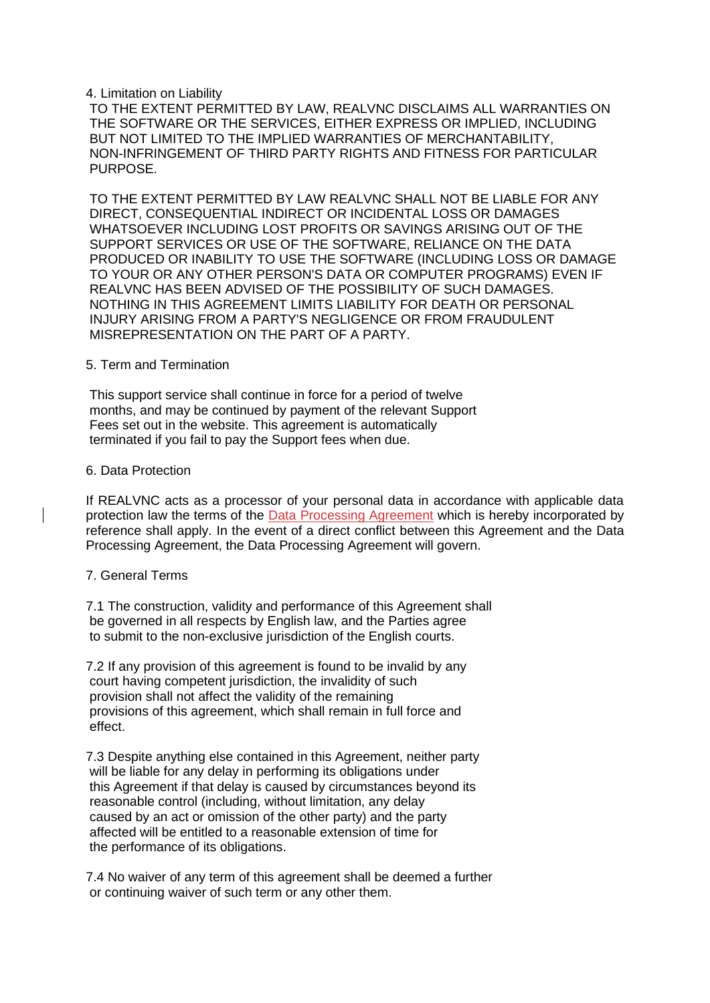### 4. Limitation on Liability

TO THE EXTENT PERMITTED BY LAW, REALVNC DISCLAIMS ALL WARRANTIES ON THE SOFTWARE OR THE SERVICES, EITHER EXPRESS OR IMPLIED, INCLUDING BUT NOT LIMITED TO THE IMPLIED WARRANTIES OF MERCHANTABILITY, NON-INFRINGEMENT OF THIRD PARTY RIGHTS AND FITNESS FOR PARTICULAR PURPOSE.

TO THE EXTENT PERMITTED BY LAW REALVNC SHALL NOT BE LIABLE FOR ANY DIRECT, CONSEQUENTIAL INDIRECT OR INCIDENTAL LOSS OR DAMAGES WHATSOEVER INCLUDING LOST PROFITS OR SAVINGS ARISING OUT OF THE SUPPORT SERVICES OR USE OF THE SOFTWARE, RELIANCE ON THE DATA PRODUCED OR INABILITY TO USE THE SOFTWARE (INCLUDING LOSS OR DAMAGE TO YOUR OR ANY OTHER PERSON'S DATA OR COMPUTER PROGRAMS) EVEN IF REALVNC HAS BEEN ADVISED OF THE POSSIBILITY OF SUCH DAMAGES. NOTHING IN THIS AGREEMENT LIMITS LIABILITY FOR DEATH OR PERSONAL INJURY ARISING FROM A PARTY'S NEGLIGENCE OR FROM FRAUDULENT MISREPRESENTATION ON THE PART OF A PARTY.

#### 5. Term and Termination

This support service shall continue in force for a period of twelve months, and may be continued by payment of the relevant Support Fees set out in the website. This agreement is automatically terminated if you fail to pay the Support fees when due.

#### 6. Data Protection

If REALVNC acts as a processor of your personal data in accordance with applicable data protection law the terms of the [Data Processing Agreement](https://help.realvnc.com/hc/en-us/articles/5438412949405-Data-Processing-Agreement-DPA-) which is hereby incorporated by reference shall apply. In the event of a direct conflict between this Agreement and the Data Processing Agreement, the Data Processing Agreement will govern.

### 7. General Terms

7.1 The construction, validity and performance of this Agreement shall be governed in all respects by English law, and the Parties agree to submit to the non-exclusive jurisdiction of the English courts.

7.2 If any provision of this agreement is found to be invalid by any court having competent jurisdiction, the invalidity of such provision shall not affect the validity of the remaining provisions of this agreement, which shall remain in full force and effect.

7.3 Despite anything else contained in this Agreement, neither party will be liable for any delay in performing its obligations under this Agreement if that delay is caused by circumstances beyond its reasonable control (including, without limitation, any delay caused by an act or omission of the other party) and the party affected will be entitled to a reasonable extension of time for the performance of its obligations.

7.4 No waiver of any term of this agreement shall be deemed a further or continuing waiver of such term or any other them.